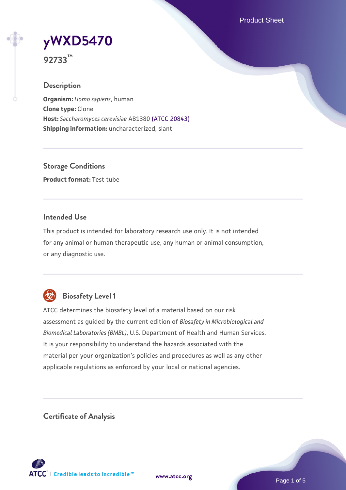Product Sheet



**92733™**

## **Description**

**Organism:** *Homo sapiens*, human **Clone type:** Clone **Host:** *Saccharomyces cerevisiae* AB1380 [\(ATCC 20843\)](https://www.atcc.org/products/20843) **Shipping information:** uncharacterized, slant

**Storage Conditions Product format:** Test tube

## **Intended Use**

This product is intended for laboratory research use only. It is not intended for any animal or human therapeutic use, any human or animal consumption, or any diagnostic use.



## **Biosafety Level 1**

ATCC determines the biosafety level of a material based on our risk assessment as guided by the current edition of *Biosafety in Microbiological and Biomedical Laboratories (BMBL)*, U.S. Department of Health and Human Services. It is your responsibility to understand the hazards associated with the material per your organization's policies and procedures as well as any other applicable regulations as enforced by your local or national agencies.

**Certificate of Analysis**

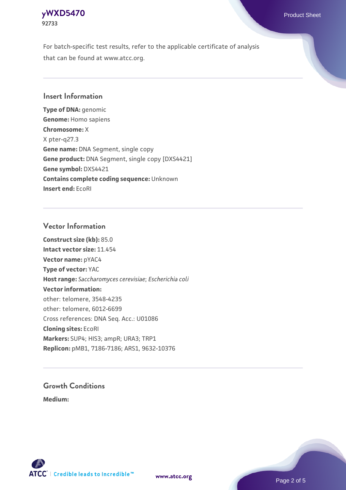## **[yWXD5470](https://www.atcc.org/products/92733)** Product Sheet **92733**

For batch-specific test results, refer to the applicable certificate of analysis that can be found at www.atcc.org.

## **Insert Information**

**Type of DNA:** genomic **Genome:** Homo sapiens **Chromosome:** X X pter-q27.3 **Gene name:** DNA Segment, single copy **Gene product:** DNA Segment, single copy [DXS4421] **Gene symbol:** DXS4421 **Contains complete coding sequence:** Unknown **Insert end:** EcoRI

## **Vector Information**

**Construct size (kb):** 85.0 **Intact vector size:** 11.454 **Vector name:** pYAC4 **Type of vector:** YAC **Host range:** *Saccharomyces cerevisiae*; *Escherichia coli* **Vector information:** other: telomere, 3548-4235 other: telomere, 6012-6699 Cross references: DNA Seq. Acc.: U01086 **Cloning sites:** EcoRI **Markers:** SUP4; HIS3; ampR; URA3; TRP1 **Replicon:** pMB1, 7186-7186; ARS1, 9632-10376

# **Growth Conditions**

**Medium:** 



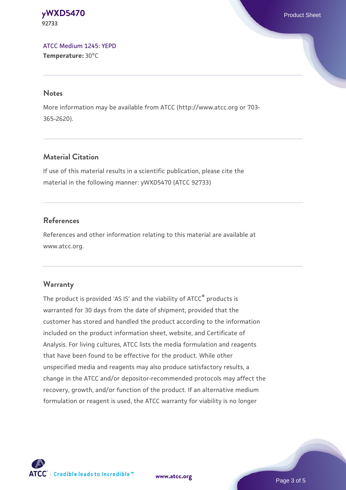#### **[yWXD5470](https://www.atcc.org/products/92733)** Product Sheet **92733**

[ATCC Medium 1245: YEPD](https://www.atcc.org/-/media/product-assets/documents/microbial-media-formulations/1/2/4/5/atcc-medium-1245.pdf?rev=705ca55d1b6f490a808a965d5c072196) **Temperature:** 30°C

#### **Notes**

More information may be available from ATCC (http://www.atcc.org or 703- 365-2620).

## **Material Citation**

If use of this material results in a scientific publication, please cite the material in the following manner: yWXD5470 (ATCC 92733)

## **References**

References and other information relating to this material are available at www.atcc.org.

## **Warranty**

The product is provided 'AS IS' and the viability of ATCC® products is warranted for 30 days from the date of shipment, provided that the customer has stored and handled the product according to the information included on the product information sheet, website, and Certificate of Analysis. For living cultures, ATCC lists the media formulation and reagents that have been found to be effective for the product. While other unspecified media and reagents may also produce satisfactory results, a change in the ATCC and/or depositor-recommended protocols may affect the recovery, growth, and/or function of the product. If an alternative medium formulation or reagent is used, the ATCC warranty for viability is no longer



**[www.atcc.org](http://www.atcc.org)**

Page 3 of 5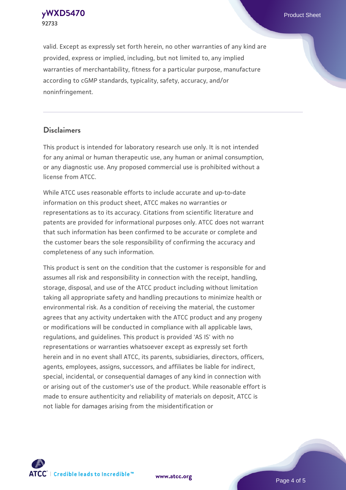**[yWXD5470](https://www.atcc.org/products/92733)** Product Sheet **92733**

valid. Except as expressly set forth herein, no other warranties of any kind are provided, express or implied, including, but not limited to, any implied warranties of merchantability, fitness for a particular purpose, manufacture according to cGMP standards, typicality, safety, accuracy, and/or noninfringement.

#### **Disclaimers**

This product is intended for laboratory research use only. It is not intended for any animal or human therapeutic use, any human or animal consumption, or any diagnostic use. Any proposed commercial use is prohibited without a license from ATCC.

While ATCC uses reasonable efforts to include accurate and up-to-date information on this product sheet, ATCC makes no warranties or representations as to its accuracy. Citations from scientific literature and patents are provided for informational purposes only. ATCC does not warrant that such information has been confirmed to be accurate or complete and the customer bears the sole responsibility of confirming the accuracy and completeness of any such information.

This product is sent on the condition that the customer is responsible for and assumes all risk and responsibility in connection with the receipt, handling, storage, disposal, and use of the ATCC product including without limitation taking all appropriate safety and handling precautions to minimize health or environmental risk. As a condition of receiving the material, the customer agrees that any activity undertaken with the ATCC product and any progeny or modifications will be conducted in compliance with all applicable laws, regulations, and guidelines. This product is provided 'AS IS' with no representations or warranties whatsoever except as expressly set forth herein and in no event shall ATCC, its parents, subsidiaries, directors, officers, agents, employees, assigns, successors, and affiliates be liable for indirect, special, incidental, or consequential damages of any kind in connection with or arising out of the customer's use of the product. While reasonable effort is made to ensure authenticity and reliability of materials on deposit, ATCC is not liable for damages arising from the misidentification or



**[www.atcc.org](http://www.atcc.org)**

Page 4 of 5